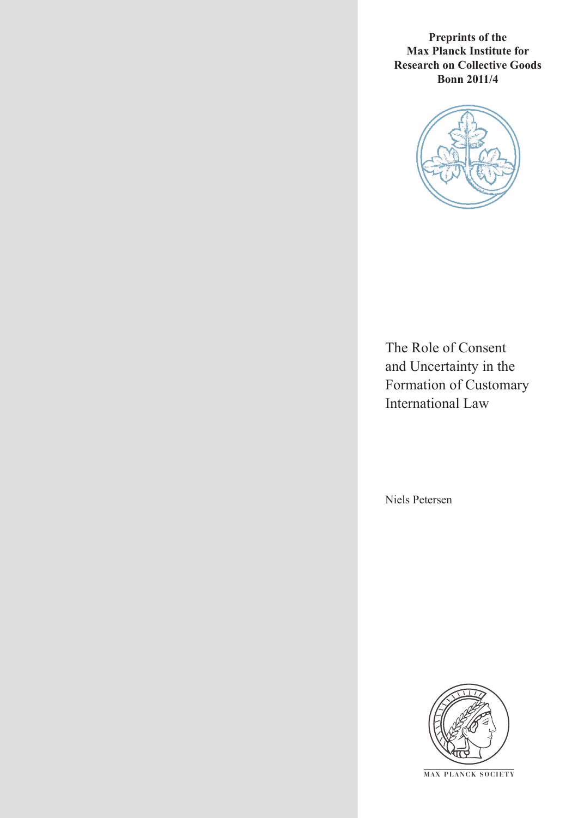**Preprints of the Max Planck Institute for Research on Collective Goods Bonn 2011/4**



The Role of Consent and Uncertainty in the Formation of Customary International Law

Niels Petersen



**M AX PLANCK SOCIETY**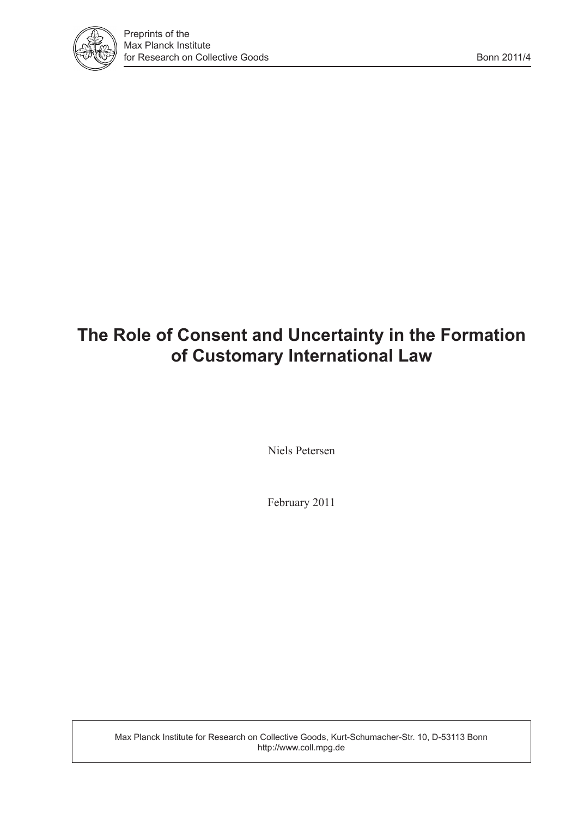

# **The Role of Consent and Uncertainty in the Formation of Customary International Law**

Niels Petersen

February 2011

Max Planck Institute for Research on Collective Goods, Kurt-Schumacher-Str. 10, D-53113 Bonn http://www.coll.mpg.de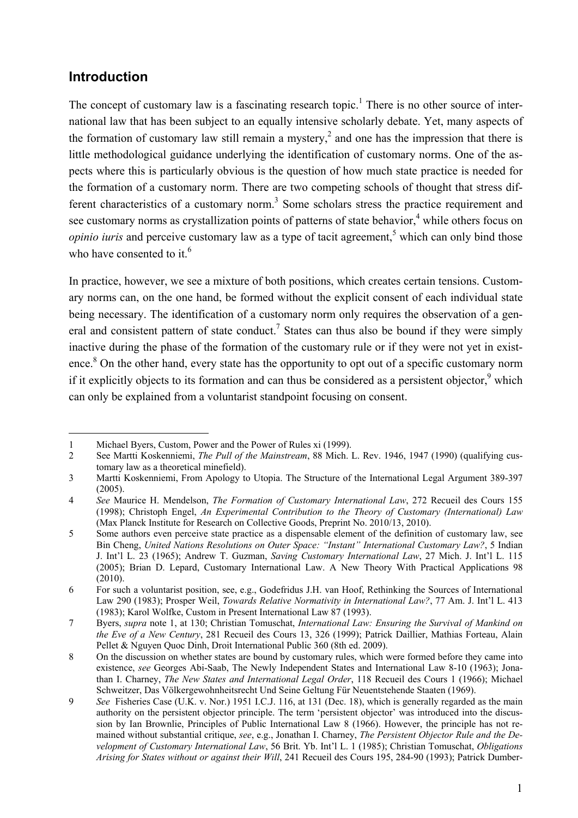# **Introduction**

-

The concept of customary law is a fascinating research topic.<sup>1</sup> There is no other source of international law that has been subject to an equally intensive scholarly debate. Yet, many aspects of the formation of customary law still remain a mystery,<sup>2</sup> and one has the impression that there is little methodological guidance underlying the identification of customary norms. One of the aspects where this is particularly obvious is the question of how much state practice is needed for the formation of a customary norm. There are two competing schools of thought that stress different characteristics of a customary norm.<sup>3</sup> Some scholars stress the practice requirement and see customary norms as crystallization points of patterns of state behavior,<sup>4</sup> while others focus on *opinio iuris* and perceive customary law as a type of tacit agreement,<sup>5</sup> which can only bind those who have consented to it.<sup>6</sup>

In practice, however, we see a mixture of both positions, which creates certain tensions. Customary norms can, on the one hand, be formed without the explicit consent of each individual state being necessary. The identification of a customary norm only requires the observation of a general and consistent pattern of state conduct.<sup>7</sup> States can thus also be bound if they were simply inactive during the phase of the formation of the customary rule or if they were not yet in existence.<sup>8</sup> On the other hand, every state has the opportunity to opt out of a specific customary norm if it explicitly objects to its formation and can thus be considered as a persistent objector, which can only be explained from a voluntarist standpoint focusing on consent.

<sup>1</sup> Michael Byers, Custom, Power and the Power of Rules xi (1999).

<sup>2</sup> See Martti Koskenniemi, *The Pull of the Mainstream*, 88 Mich. L. Rev. 1946, 1947 (1990) (qualifying customary law as a theoretical minefield).

<sup>3</sup> Martti Koskenniemi, From Apology to Utopia. The Structure of the International Legal Argument 389-397 (2005).

<sup>4</sup> *See* Maurice H. Mendelson, *The Formation of Customary International Law*, 272 Recueil des Cours 155 (1998); Christoph Engel, *An Experimental Contribution to the Theory of Customary (International) Law* (Max Planck Institute for Research on Collective Goods, Preprint No. 2010/13, 2010).

<sup>5</sup> Some authors even perceive state practice as a dispensable element of the definition of customary law, see Bin Cheng, *United Nations Resolutions on Outer Space: "Instant" International Customary Law?*, 5 Indian J. Int'l L. 23 (1965); Andrew T. Guzman, *Saving Customary International Law*, 27 Mich. J. Int'l L. 115 (2005); Brian D. Lepard, Customary International Law. A New Theory With Practical Applications 98 (2010).

<sup>6</sup> For such a voluntarist position, see, e.g., Godefridus J.H. van Hoof, Rethinking the Sources of International Law 290 (1983); Prosper Weil, *Towards Relative Normativity in International Law?*, 77 Am. J. Int'l L. 413 (1983); Karol Wolfke, Custom in Present International Law 87 (1993).

<sup>7</sup> Byers, *supra* note 1, at 130; Christian Tomuschat, *International Law: Ensuring the Survival of Mankind on the Eve of a New Century*, 281 Recueil des Cours 13, 326 (1999); Patrick Daillier, Mathias Forteau, Alain Pellet & Nguyen Quoc Dinh, Droit International Public 360 (8th ed. 2009).

<sup>8</sup> On the discussion on whether states are bound by customary rules, which were formed before they came into existence, *see* Georges Abi-Saab, The Newly Independent States and International Law 8-10 (1963); Jonathan I. Charney, *The New States and International Legal Order*, 118 Recueil des Cours 1 (1966); Michael Schweitzer, Das Völkergewohnheitsrecht Und Seine Geltung Für Neuentstehende Staaten (1969).

<sup>9</sup> *See* Fisheries Case (U.K. v. Nor.) 1951 I.C.J. 116, at 131 (Dec. 18), which is generally regarded as the main authority on the persistent objector principle. The term 'persistent objector' was introduced into the discussion by Ian Brownlie, Principles of Public International Law 8 (1966). However, the principle has not remained without substantial critique, *see*, e.g., Jonathan I. Charney, *The Persistent Objector Rule and the Development of Customary International Law*, 56 Brit. Yb. Int'l L. 1 (1985); Christian Tomuschat, *Obligations Arising for States without or against their Will*, 241 Recueil des Cours 195, 284-90 (1993); Patrick Dumber-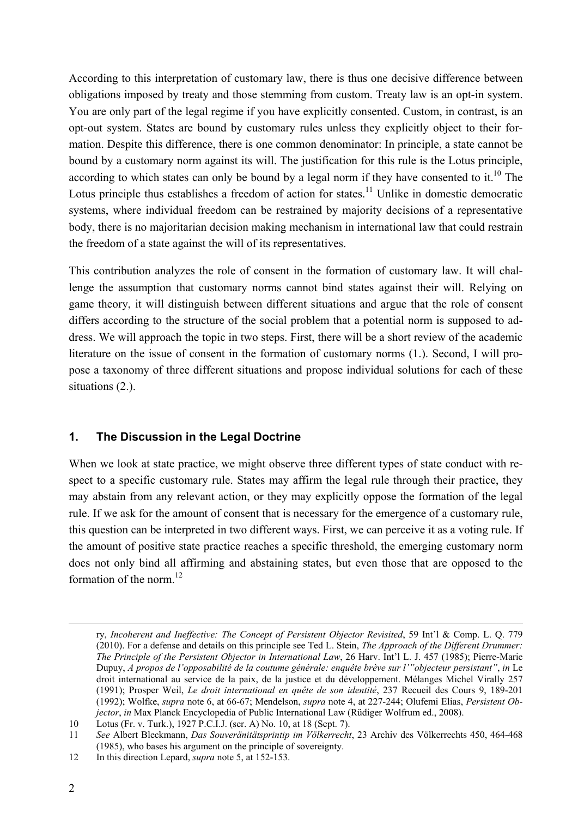According to this interpretation of customary law, there is thus one decisive difference between obligations imposed by treaty and those stemming from custom. Treaty law is an opt-in system. You are only part of the legal regime if you have explicitly consented. Custom, in contrast, is an opt-out system. States are bound by customary rules unless they explicitly object to their formation. Despite this difference, there is one common denominator: In principle, a state cannot be bound by a customary norm against its will. The justification for this rule is the Lotus principle, according to which states can only be bound by a legal norm if they have consented to it.<sup>10</sup> The Lotus principle thus establishes a freedom of action for states.<sup>11</sup> Unlike in domestic democratic systems, where individual freedom can be restrained by majority decisions of a representative body, there is no majoritarian decision making mechanism in international law that could restrain the freedom of a state against the will of its representatives.

This contribution analyzes the role of consent in the formation of customary law. It will challenge the assumption that customary norms cannot bind states against their will. Relying on game theory, it will distinguish between different situations and argue that the role of consent differs according to the structure of the social problem that a potential norm is supposed to address. We will approach the topic in two steps. First, there will be a short review of the academic literature on the issue of consent in the formation of customary norms (1.). Second, I will propose a taxonomy of three different situations and propose individual solutions for each of these situations (2.).

## **1. The Discussion in the Legal Doctrine**

When we look at state practice, we might observe three different types of state conduct with respect to a specific customary rule. States may affirm the legal rule through their practice, they may abstain from any relevant action, or they may explicitly oppose the formation of the legal rule. If we ask for the amount of consent that is necessary for the emergence of a customary rule, this question can be interpreted in two different ways. First, we can perceive it as a voting rule. If the amount of positive state practice reaches a specific threshold, the emerging customary norm does not only bind all affirming and abstaining states, but even those that are opposed to the formation of the norm. $^{12}$ 

ry, *Incoherent and Ineffective: The Concept of Persistent Objector Revisited*, 59 Int'l & Comp. L. Q. 779 (2010). For a defense and details on this principle see Ted L. Stein, *The Approach of the Different Drummer: The Principle of the Persistent Objector in International Law*, 26 Harv. Int'l L. J. 457 (1985); Pierre-Marie Dupuy, *A propos de l'opposabilité de la coutume générale: enquête brève sur l'"objecteur persistant"*, *in* Le droit international au service de la paix, de la justice et du développement. Mélanges Michel Virally 257 (1991); Prosper Weil, *Le droit international en quête de son identité*, 237 Recueil des Cours 9, 189-201 (1992); Wolfke, *supra* note 6, at 66-67; Mendelson, *supra* note 4, at 227-244; Olufemi Elias, *Persistent Objector*, *in* Max Planck Encyclopedia of Public International Law (Rüdiger Wolfrum ed., 2008).

<sup>10</sup> Lotus (Fr. v. Turk.), 1927 P.C.I.J. (ser. A) No. 10, at 18 (Sept. 7).

<sup>11</sup> *See* Albert Bleckmann, *Das Souveränitätsprintip im Völkerrecht*, 23 Archiv des Völkerrechts 450, 464-468 (1985), who bases his argument on the principle of sovereignty.

<sup>12</sup> In this direction Lepard, *supra* note 5, at 152-153.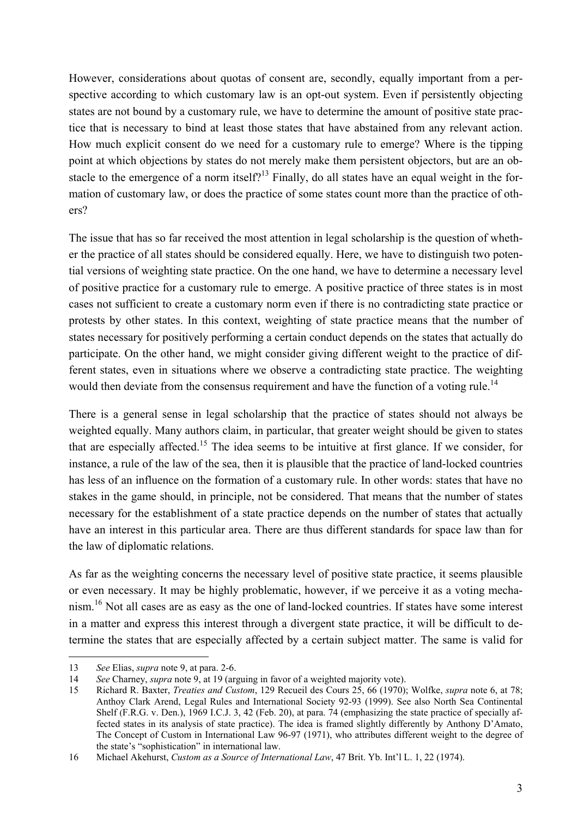However, considerations about quotas of consent are, secondly, equally important from a perspective according to which customary law is an opt-out system. Even if persistently objecting states are not bound by a customary rule, we have to determine the amount of positive state practice that is necessary to bind at least those states that have abstained from any relevant action. How much explicit consent do we need for a customary rule to emerge? Where is the tipping point at which objections by states do not merely make them persistent objectors, but are an obstacle to the emergence of a norm itself?<sup>13</sup> Finally, do all states have an equal weight in the formation of customary law, or does the practice of some states count more than the practice of others?

The issue that has so far received the most attention in legal scholarship is the question of whether the practice of all states should be considered equally. Here, we have to distinguish two potential versions of weighting state practice. On the one hand, we have to determine a necessary level of positive practice for a customary rule to emerge. A positive practice of three states is in most cases not sufficient to create a customary norm even if there is no contradicting state practice or protests by other states. In this context, weighting of state practice means that the number of states necessary for positively performing a certain conduct depends on the states that actually do participate. On the other hand, we might consider giving different weight to the practice of different states, even in situations where we observe a contradicting state practice. The weighting would then deviate from the consensus requirement and have the function of a voting rule.<sup>14</sup>

There is a general sense in legal scholarship that the practice of states should not always be weighted equally. Many authors claim, in particular, that greater weight should be given to states that are especially affected.15 The idea seems to be intuitive at first glance. If we consider, for instance, a rule of the law of the sea, then it is plausible that the practice of land-locked countries has less of an influence on the formation of a customary rule. In other words: states that have no stakes in the game should, in principle, not be considered. That means that the number of states necessary for the establishment of a state practice depends on the number of states that actually have an interest in this particular area. There are thus different standards for space law than for the law of diplomatic relations.

As far as the weighting concerns the necessary level of positive state practice, it seems plausible or even necessary. It may be highly problematic, however, if we perceive it as a voting mechanism.16 Not all cases are as easy as the one of land-locked countries. If states have some interest in a matter and express this interest through a divergent state practice, it will be difficult to determine the states that are especially affected by a certain subject matter. The same is valid for

<sup>13</sup> *See* Elias, *supra* note 9, at para. 2-6.

<sup>14</sup> *See* Charney, *supra* note 9, at 19 (arguing in favor of a weighted majority vote).

<sup>15</sup> Richard R. Baxter, *Treaties and Custom*, 129 Recueil des Cours 25, 66 (1970); Wolfke, *supra* note 6, at 78; Anthoy Clark Arend, Legal Rules and International Society 92-93 (1999). See also North Sea Continental Shelf (F.R.G. v. Den.), 1969 I.C.J. 3, 42 (Feb. 20), at para. 74 (emphasizing the state practice of specially affected states in its analysis of state practice). The idea is framed slightly differently by Anthony D'Amato, The Concept of Custom in International Law 96-97 (1971), who attributes different weight to the degree of the state's "sophistication" in international law.

<sup>16</sup> Michael Akehurst, *Custom as a Source of International Law*, 47 Brit. Yb. Int'l L. 1, 22 (1974).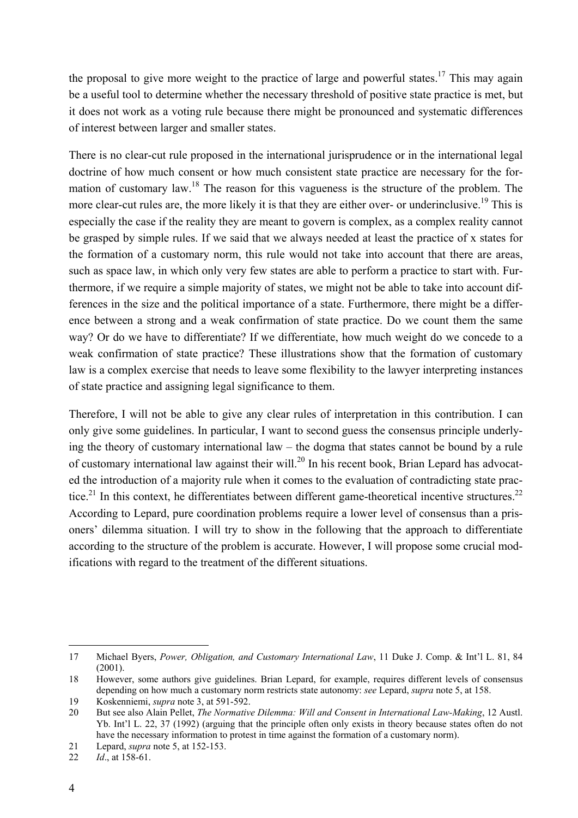the proposal to give more weight to the practice of large and powerful states.<sup>17</sup> This may again be a useful tool to determine whether the necessary threshold of positive state practice is met, but it does not work as a voting rule because there might be pronounced and systematic differences of interest between larger and smaller states.

There is no clear-cut rule proposed in the international jurisprudence or in the international legal doctrine of how much consent or how much consistent state practice are necessary for the formation of customary law.<sup>18</sup> The reason for this vagueness is the structure of the problem. The more clear-cut rules are, the more likely it is that they are either over- or underinclusive.<sup>19</sup> This is especially the case if the reality they are meant to govern is complex, as a complex reality cannot be grasped by simple rules. If we said that we always needed at least the practice of x states for the formation of a customary norm, this rule would not take into account that there are areas, such as space law, in which only very few states are able to perform a practice to start with. Furthermore, if we require a simple majority of states, we might not be able to take into account differences in the size and the political importance of a state. Furthermore, there might be a difference between a strong and a weak confirmation of state practice. Do we count them the same way? Or do we have to differentiate? If we differentiate, how much weight do we concede to a weak confirmation of state practice? These illustrations show that the formation of customary law is a complex exercise that needs to leave some flexibility to the lawyer interpreting instances of state practice and assigning legal significance to them.

Therefore, I will not be able to give any clear rules of interpretation in this contribution. I can only give some guidelines. In particular, I want to second guess the consensus principle underlying the theory of customary international law – the dogma that states cannot be bound by a rule of customary international law against their will.<sup>20</sup> In his recent book, Brian Lepard has advocated the introduction of a majority rule when it comes to the evaluation of contradicting state practice.<sup>21</sup> In this context, he differentiates between different game-theoretical incentive structures.<sup>22</sup> According to Lepard, pure coordination problems require a lower level of consensus than a prisoners' dilemma situation. I will try to show in the following that the approach to differentiate according to the structure of the problem is accurate. However, I will propose some crucial modifications with regard to the treatment of the different situations.

<sup>17</sup> Michael Byers, *Power, Obligation, and Customary International Law*, 11 Duke J. Comp. & Int'l L. 81, 84  $(2001)$ 

<sup>18</sup> However, some authors give guidelines. Brian Lepard, for example, requires different levels of consensus depending on how much a customary norm restricts state autonomy: *see* Lepard, *supra* note 5, at 158.

<sup>19</sup> Koskenniemi, *supra* note 3, at 591-592.

<sup>20</sup> But see also Alain Pellet, *The Normative Dilemma: Will and Consent in International Law-Making*, 12 Austl. Yb. Int'l L. 22, 37 (1992) (arguing that the principle often only exists in theory because states often do not have the necessary information to protest in time against the formation of a customary norm).

<sup>21</sup> Lepard, *supra* note 5, at 152-153.

<sup>22</sup> *Id*., at 158-61.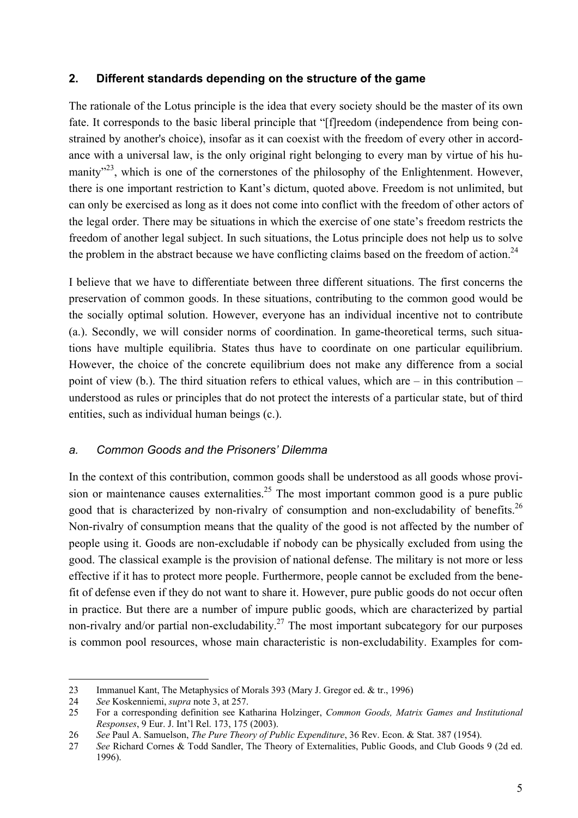## **2. Different standards depending on the structure of the game**

The rationale of the Lotus principle is the idea that every society should be the master of its own fate. It corresponds to the basic liberal principle that "[f]reedom (independence from being constrained by another's choice), insofar as it can coexist with the freedom of every other in accordance with a universal law, is the only original right belonging to every man by virtue of his humanity<sup>23</sup>, which is one of the cornerstones of the philosophy of the Enlightenment. However, there is one important restriction to Kant's dictum, quoted above. Freedom is not unlimited, but can only be exercised as long as it does not come into conflict with the freedom of other actors of the legal order. There may be situations in which the exercise of one state's freedom restricts the freedom of another legal subject. In such situations, the Lotus principle does not help us to solve the problem in the abstract because we have conflicting claims based on the freedom of action.<sup>24</sup>

I believe that we have to differentiate between three different situations. The first concerns the preservation of common goods. In these situations, contributing to the common good would be the socially optimal solution. However, everyone has an individual incentive not to contribute (a.). Secondly, we will consider norms of coordination. In game-theoretical terms, such situations have multiple equilibria. States thus have to coordinate on one particular equilibrium. However, the choice of the concrete equilibrium does not make any difference from a social point of view (b.). The third situation refers to ethical values, which are – in this contribution – understood as rules or principles that do not protect the interests of a particular state, but of third entities, such as individual human beings (c.).

#### *a. Common Goods and the Prisoners' Dilemma*

In the context of this contribution, common goods shall be understood as all goods whose provision or maintenance causes externalities.<sup>25</sup> The most important common good is a pure public good that is characterized by non-rivalry of consumption and non-excludability of benefits.<sup>26</sup> Non-rivalry of consumption means that the quality of the good is not affected by the number of people using it. Goods are non-excludable if nobody can be physically excluded from using the good. The classical example is the provision of national defense. The military is not more or less effective if it has to protect more people. Furthermore, people cannot be excluded from the benefit of defense even if they do not want to share it. However, pure public goods do not occur often in practice. But there are a number of impure public goods, which are characterized by partial non-rivalry and/or partial non-excludability.<sup>27</sup> The most important subcategory for our purposes is common pool resources, whose main characteristic is non-excludability. Examples for com-

<sup>23</sup> Immanuel Kant, The Metaphysics of Morals 393 (Mary J. Gregor ed. & tr., 1996)

<sup>24</sup> *See* Koskenniemi, *supra* note 3, at 257.

<sup>25</sup> For a corresponding definition see Katharina Holzinger, *Common Goods, Matrix Games and Institutional Responses*, 9 Eur. J. Int'l Rel. 173, 175 (2003).

<sup>26</sup> *See* Paul A. Samuelson, *The Pure Theory of Public Expenditure*, 36 Rev. Econ. & Stat. 387 (1954).

<sup>27</sup> *See* Richard Cornes & Todd Sandler, The Theory of Externalities, Public Goods, and Club Goods 9 (2d ed. 1996).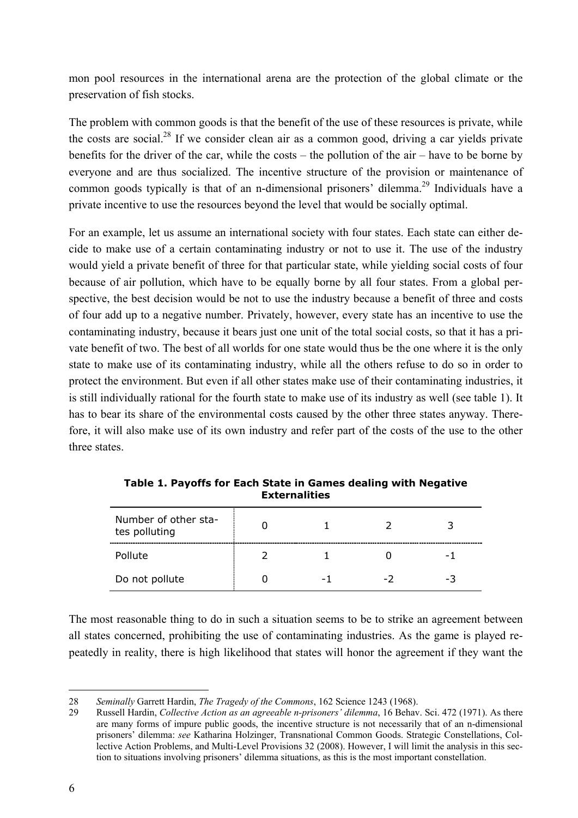mon pool resources in the international arena are the protection of the global climate or the preservation of fish stocks.

The problem with common goods is that the benefit of the use of these resources is private, while the costs are social.<sup>28</sup> If we consider clean air as a common good, driving a car yields private benefits for the driver of the car, while the costs – the pollution of the air – have to be borne by everyone and are thus socialized. The incentive structure of the provision or maintenance of common goods typically is that of an n-dimensional prisoners' dilemma.<sup>29</sup> Individuals have a private incentive to use the resources beyond the level that would be socially optimal.

For an example, let us assume an international society with four states. Each state can either decide to make use of a certain contaminating industry or not to use it. The use of the industry would yield a private benefit of three for that particular state, while yielding social costs of four because of air pollution, which have to be equally borne by all four states. From a global perspective, the best decision would be not to use the industry because a benefit of three and costs of four add up to a negative number. Privately, however, every state has an incentive to use the contaminating industry, because it bears just one unit of the total social costs, so that it has a private benefit of two. The best of all worlds for one state would thus be the one where it is the only state to make use of its contaminating industry, while all the others refuse to do so in order to protect the environment. But even if all other states make use of their contaminating industries, it is still individually rational for the fourth state to make use of its industry as well (see table 1). It has to bear its share of the environmental costs caused by the other three states anyway. Therefore, it will also make use of its own industry and refer part of the costs of the use to the other three states.

| Number of other sta-<br>tes polluting |     |     |                          |
|---------------------------------------|-----|-----|--------------------------|
| Pollute                               |     |     | $\overline{\phantom{0}}$ |
| Do not pollute                        | - 1 | - 1 | -3                       |

**Table 1. Payoffs for Each State in Games dealing with Negative Externalities** 

The most reasonable thing to do in such a situation seems to be to strike an agreement between all states concerned, prohibiting the use of contaminating industries. As the game is played repeatedly in reality, there is high likelihood that states will honor the agreement if they want the

<sup>-</sup>28 *Seminally* Garrett Hardin, *The Tragedy of the Commons*, 162 Science 1243 (1968).

<sup>29</sup> Russell Hardin, *Collective Action as an agreeable n-prisoners' dilemma*, 16 Behav. Sci. 472 (1971). As there are many forms of impure public goods, the incentive structure is not necessarily that of an n-dimensional prisoners' dilemma: *see* Katharina Holzinger, Transnational Common Goods. Strategic Constellations, Collective Action Problems, and Multi-Level Provisions 32 (2008). However, I will limit the analysis in this section to situations involving prisoners' dilemma situations, as this is the most important constellation.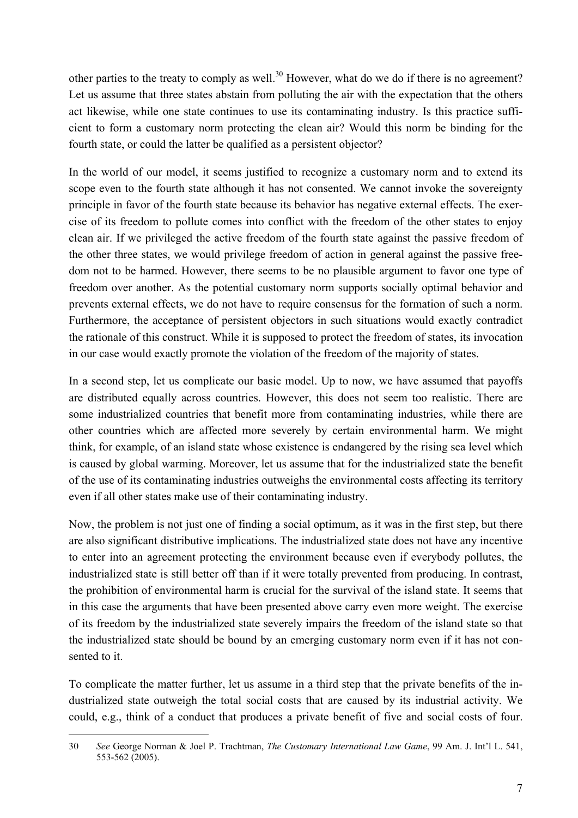other parties to the treaty to comply as well.<sup>30</sup> However, what do we do if there is no agreement? Let us assume that three states abstain from polluting the air with the expectation that the others act likewise, while one state continues to use its contaminating industry. Is this practice sufficient to form a customary norm protecting the clean air? Would this norm be binding for the fourth state, or could the latter be qualified as a persistent objector?

In the world of our model, it seems justified to recognize a customary norm and to extend its scope even to the fourth state although it has not consented. We cannot invoke the sovereignty principle in favor of the fourth state because its behavior has negative external effects. The exercise of its freedom to pollute comes into conflict with the freedom of the other states to enjoy clean air. If we privileged the active freedom of the fourth state against the passive freedom of the other three states, we would privilege freedom of action in general against the passive freedom not to be harmed. However, there seems to be no plausible argument to favor one type of freedom over another. As the potential customary norm supports socially optimal behavior and prevents external effects, we do not have to require consensus for the formation of such a norm. Furthermore, the acceptance of persistent objectors in such situations would exactly contradict the rationale of this construct. While it is supposed to protect the freedom of states, its invocation in our case would exactly promote the violation of the freedom of the majority of states.

In a second step, let us complicate our basic model. Up to now, we have assumed that payoffs are distributed equally across countries. However, this does not seem too realistic. There are some industrialized countries that benefit more from contaminating industries, while there are other countries which are affected more severely by certain environmental harm. We might think, for example, of an island state whose existence is endangered by the rising sea level which is caused by global warming. Moreover, let us assume that for the industrialized state the benefit of the use of its contaminating industries outweighs the environmental costs affecting its territory even if all other states make use of their contaminating industry.

Now, the problem is not just one of finding a social optimum, as it was in the first step, but there are also significant distributive implications. The industrialized state does not have any incentive to enter into an agreement protecting the environment because even if everybody pollutes, the industrialized state is still better off than if it were totally prevented from producing. In contrast, the prohibition of environmental harm is crucial for the survival of the island state. It seems that in this case the arguments that have been presented above carry even more weight. The exercise of its freedom by the industrialized state severely impairs the freedom of the island state so that the industrialized state should be bound by an emerging customary norm even if it has not consented to it.

To complicate the matter further, let us assume in a third step that the private benefits of the industrialized state outweigh the total social costs that are caused by its industrial activity. We could, e.g., think of a conduct that produces a private benefit of five and social costs of four.

<sup>30</sup> *See* George Norman & Joel P. Trachtman, *The Customary International Law Game*, 99 Am. J. Int'l L. 541, 553-562 (2005).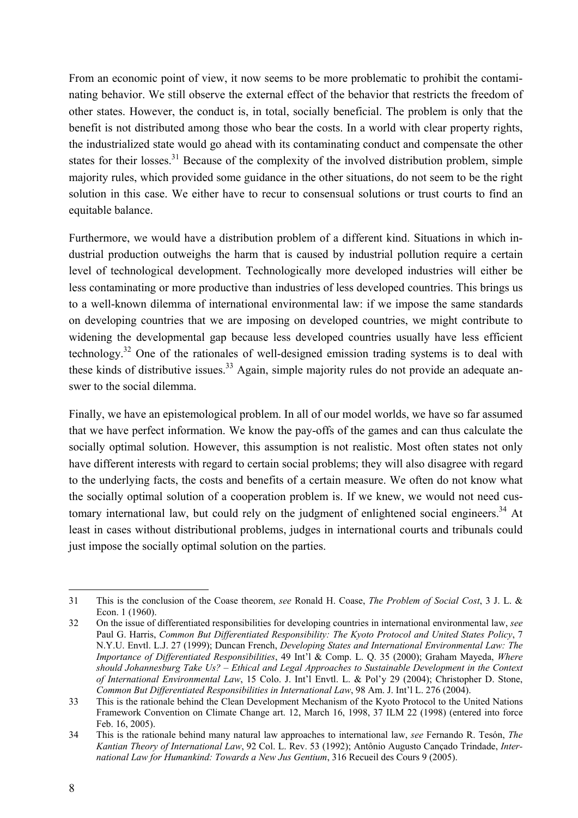From an economic point of view, it now seems to be more problematic to prohibit the contaminating behavior. We still observe the external effect of the behavior that restricts the freedom of other states. However, the conduct is, in total, socially beneficial. The problem is only that the benefit is not distributed among those who bear the costs. In a world with clear property rights, the industrialized state would go ahead with its contaminating conduct and compensate the other states for their losses.<sup>31</sup> Because of the complexity of the involved distribution problem, simple majority rules, which provided some guidance in the other situations, do not seem to be the right solution in this case. We either have to recur to consensual solutions or trust courts to find an equitable balance.

Furthermore, we would have a distribution problem of a different kind. Situations in which industrial production outweighs the harm that is caused by industrial pollution require a certain level of technological development. Technologically more developed industries will either be less contaminating or more productive than industries of less developed countries. This brings us to a well-known dilemma of international environmental law: if we impose the same standards on developing countries that we are imposing on developed countries, we might contribute to widening the developmental gap because less developed countries usually have less efficient technology.32 One of the rationales of well-designed emission trading systems is to deal with these kinds of distributive issues.<sup>33</sup> Again, simple majority rules do not provide an adequate answer to the social dilemma.

Finally, we have an epistemological problem. In all of our model worlds, we have so far assumed that we have perfect information. We know the pay-offs of the games and can thus calculate the socially optimal solution. However, this assumption is not realistic. Most often states not only have different interests with regard to certain social problems; they will also disagree with regard to the underlying facts, the costs and benefits of a certain measure. We often do not know what the socially optimal solution of a cooperation problem is. If we knew, we would not need customary international law, but could rely on the judgment of enlightened social engineers.<sup>34</sup> At least in cases without distributional problems, judges in international courts and tribunals could just impose the socially optimal solution on the parties.

<sup>31</sup> This is the conclusion of the Coase theorem, *see* Ronald H. Coase, *The Problem of Social Cost*, 3 J. L. & Econ. 1 (1960).

<sup>32</sup> On the issue of differentiated responsibilities for developing countries in international environmental law, *see* Paul G. Harris, *Common But Differentiated Responsibility: The Kyoto Protocol and United States Policy*, 7 N.Y.U. Envtl. L.J. 27 (1999); Duncan French, *Developing States and International Environmental Law: The Importance of Differentiated Responsibilities*, 49 Int'l & Comp. L. Q. 35 (2000); Graham Mayeda, *Where should Johannesburg Take Us? – Ethical and Legal Approaches to Sustainable Development in the Context of International Environmental Law*, 15 Colo. J. Int'l Envtl. L. & Pol'y 29 (2004); Christopher D. Stone, *Common But Differentiated Responsibilities in International Law*, 98 Am. J. Int'l L. 276 (2004).

<sup>33</sup> This is the rationale behind the Clean Development Mechanism of the Kyoto Protocol to the United Nations Framework Convention on Climate Change art. 12, March 16, 1998, 37 ILM 22 (1998) (entered into force Feb. 16, 2005).

<sup>34</sup> This is the rationale behind many natural law approaches to international law, *see* Fernando R. Tesón, *The Kantian Theory of International Law*, 92 Col. L. Rev. 53 (1992); Antônio Augusto Cançado Trindade, *International Law for Humankind: Towards a New Jus Gentium*, 316 Recueil des Cours 9 (2005).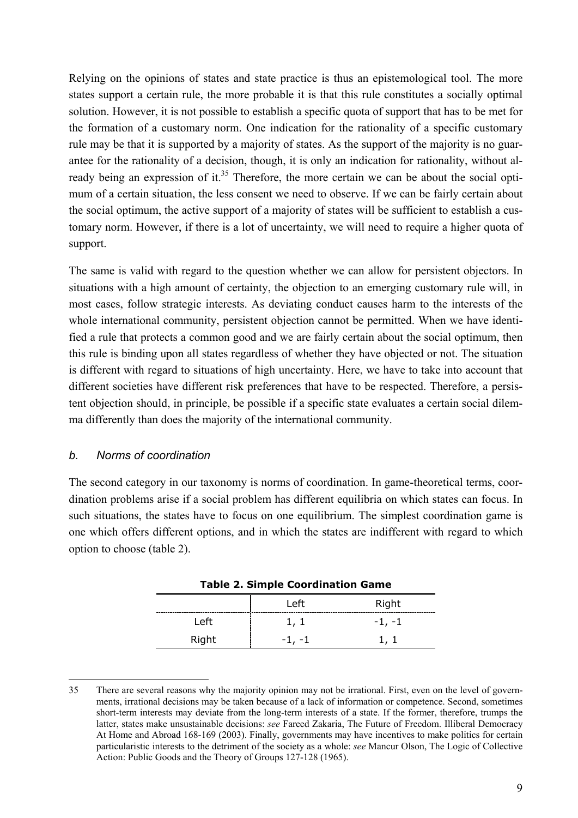Relying on the opinions of states and state practice is thus an epistemological tool. The more states support a certain rule, the more probable it is that this rule constitutes a socially optimal solution. However, it is not possible to establish a specific quota of support that has to be met for the formation of a customary norm. One indication for the rationality of a specific customary rule may be that it is supported by a majority of states. As the support of the majority is no guarantee for the rationality of a decision, though, it is only an indication for rationality, without already being an expression of it.<sup>35</sup> Therefore, the more certain we can be about the social optimum of a certain situation, the less consent we need to observe. If we can be fairly certain about the social optimum, the active support of a majority of states will be sufficient to establish a customary norm. However, if there is a lot of uncertainty, we will need to require a higher quota of support.

The same is valid with regard to the question whether we can allow for persistent objectors. In situations with a high amount of certainty, the objection to an emerging customary rule will, in most cases, follow strategic interests. As deviating conduct causes harm to the interests of the whole international community, persistent objection cannot be permitted. When we have identified a rule that protects a common good and we are fairly certain about the social optimum, then this rule is binding upon all states regardless of whether they have objected or not. The situation is different with regard to situations of high uncertainty. Here, we have to take into account that different societies have different risk preferences that have to be respected. Therefore, a persistent objection should, in principle, be possible if a specific state evaluates a certain social dilemma differently than does the majority of the international community.

#### *b. Norms of coordination*

-

The second category in our taxonomy is norms of coordination. In game-theoretical terms, coordination problems arise if a social problem has different equilibria on which states can focus. In such situations, the states have to focus on one equilibrium. The simplest coordination game is one which offers different options, and in which the states are indifferent with regard to which option to choose (table 2).

| <b>Table 2. Simple Coordination Game</b> |          |          |  |  |
|------------------------------------------|----------|----------|--|--|
|                                          | Left     | Right    |  |  |
| Left                                     | 1, 1     | $-1, -1$ |  |  |
| Right                                    | $-1. -1$ | 1.1      |  |  |

<sup>35</sup> There are several reasons why the majority opinion may not be irrational. First, even on the level of governments, irrational decisions may be taken because of a lack of information or competence. Second, sometimes short-term interests may deviate from the long-term interests of a state. If the former, therefore, trumps the latter, states make unsustainable decisions: *see* Fareed Zakaria, The Future of Freedom. Illiberal Democracy At Home and Abroad 168-169 (2003). Finally, governments may have incentives to make politics for certain particularistic interests to the detriment of the society as a whole: *see* Mancur Olson, The Logic of Collective Action: Public Goods and the Theory of Groups 127-128 (1965).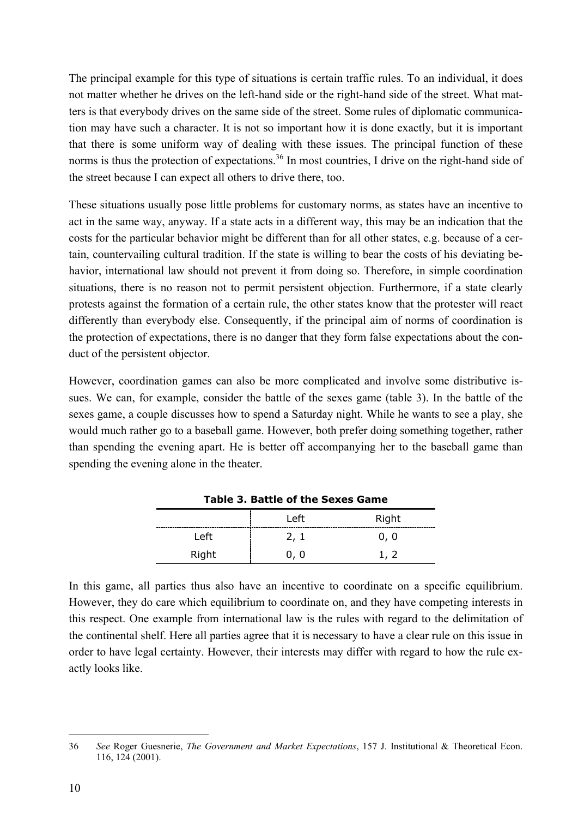The principal example for this type of situations is certain traffic rules. To an individual, it does not matter whether he drives on the left-hand side or the right-hand side of the street. What matters is that everybody drives on the same side of the street. Some rules of diplomatic communication may have such a character. It is not so important how it is done exactly, but it is important that there is some uniform way of dealing with these issues. The principal function of these norms is thus the protection of expectations.<sup>36</sup> In most countries, I drive on the right-hand side of the street because I can expect all others to drive there, too.

These situations usually pose little problems for customary norms, as states have an incentive to act in the same way, anyway. If a state acts in a different way, this may be an indication that the costs for the particular behavior might be different than for all other states, e.g. because of a certain, countervailing cultural tradition. If the state is willing to bear the costs of his deviating behavior, international law should not prevent it from doing so. Therefore, in simple coordination situations, there is no reason not to permit persistent objection. Furthermore, if a state clearly protests against the formation of a certain rule, the other states know that the protester will react differently than everybody else. Consequently, if the principal aim of norms of coordination is the protection of expectations, there is no danger that they form false expectations about the conduct of the persistent objector.

However, coordination games can also be more complicated and involve some distributive issues. We can, for example, consider the battle of the sexes game (table 3). In the battle of the sexes game, a couple discusses how to spend a Saturday night. While he wants to see a play, she would much rather go to a baseball game. However, both prefer doing something together, rather than spending the evening apart. He is better off accompanying her to the baseball game than spending the evening alone in the theater.

| Table 5. Battle of the Sexes Game |      |       |  |  |
|-----------------------------------|------|-------|--|--|
|                                   | Left | Right |  |  |
| Left                              | 2, 1 | 0, 0  |  |  |
| Right                             | 0, 0 | 1.2   |  |  |

**Table 3. Battle of the Sexes Game** 

In this game, all parties thus also have an incentive to coordinate on a specific equilibrium. However, they do care which equilibrium to coordinate on, and they have competing interests in this respect. One example from international law is the rules with regard to the delimitation of the continental shelf. Here all parties agree that it is necessary to have a clear rule on this issue in order to have legal certainty. However, their interests may differ with regard to how the rule exactly looks like.

<sup>36</sup> *See* Roger Guesnerie, *The Government and Market Expectations*, 157 J. Institutional & Theoretical Econ. 116, 124 (2001).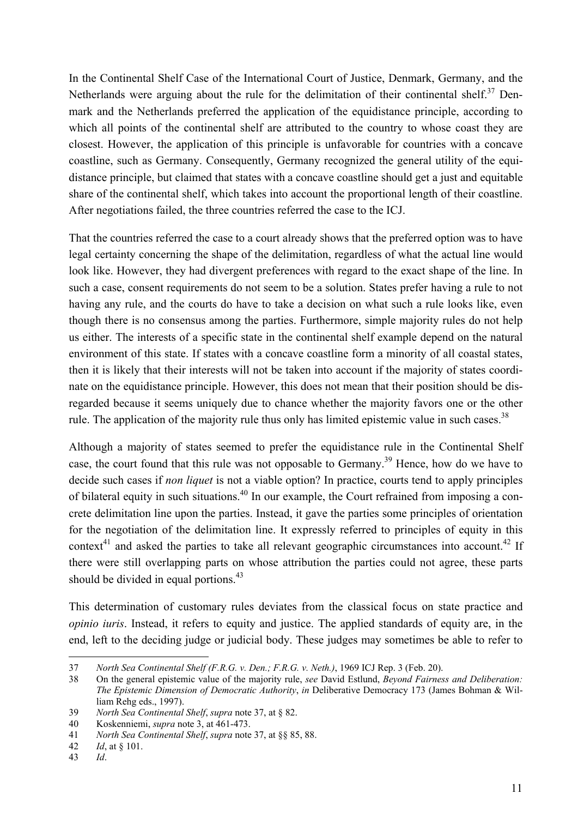In the Continental Shelf Case of the International Court of Justice, Denmark, Germany, and the Netherlands were arguing about the rule for the delimitation of their continental shelf. $37$  Denmark and the Netherlands preferred the application of the equidistance principle, according to which all points of the continental shelf are attributed to the country to whose coast they are closest. However, the application of this principle is unfavorable for countries with a concave coastline, such as Germany. Consequently, Germany recognized the general utility of the equidistance principle, but claimed that states with a concave coastline should get a just and equitable share of the continental shelf, which takes into account the proportional length of their coastline. After negotiations failed, the three countries referred the case to the ICJ.

That the countries referred the case to a court already shows that the preferred option was to have legal certainty concerning the shape of the delimitation, regardless of what the actual line would look like. However, they had divergent preferences with regard to the exact shape of the line. In such a case, consent requirements do not seem to be a solution. States prefer having a rule to not having any rule, and the courts do have to take a decision on what such a rule looks like, even though there is no consensus among the parties. Furthermore, simple majority rules do not help us either. The interests of a specific state in the continental shelf example depend on the natural environment of this state. If states with a concave coastline form a minority of all coastal states, then it is likely that their interests will not be taken into account if the majority of states coordinate on the equidistance principle. However, this does not mean that their position should be disregarded because it seems uniquely due to chance whether the majority favors one or the other rule. The application of the majority rule thus only has limited epistemic value in such cases.<sup>38</sup>

Although a majority of states seemed to prefer the equidistance rule in the Continental Shelf case, the court found that this rule was not opposable to Germany.39 Hence, how do we have to decide such cases if *non liquet* is not a viable option? In practice, courts tend to apply principles of bilateral equity in such situations.40 In our example, the Court refrained from imposing a concrete delimitation line upon the parties. Instead, it gave the parties some principles of orientation for the negotiation of the delimitation line. It expressly referred to principles of equity in this context<sup>41</sup> and asked the parties to take all relevant geographic circumstances into account.<sup>42</sup> If there were still overlapping parts on whose attribution the parties could not agree, these parts should be divided in equal portions.<sup>43</sup>

This determination of customary rules deviates from the classical focus on state practice and *opinio iuris*. Instead, it refers to equity and justice. The applied standards of equity are, in the end, left to the deciding judge or judicial body. These judges may sometimes be able to refer to

<sup>37</sup> *North Sea Continental Shelf (F.R.G. v. Den.; F.R.G. v. Neth.)*, 1969 ICJ Rep. 3 (Feb. 20).

<sup>38</sup> On the general epistemic value of the majority rule, *see* David Estlund, *Beyond Fairness and Deliberation: The Epistemic Dimension of Democratic Authority*, *in* Deliberative Democracy 173 (James Bohman & William Rehg eds., 1997).

<sup>39</sup> *North Sea Continental Shelf*, *supra* note 37, at § 82.

<sup>40</sup> Koskenniemi, *supra* note 3, at 461-473.

<sup>41</sup> *North Sea Continental Shelf*, *supra* note 37, at §§ 85, 88.

<sup>42</sup> *Id*, at § 101.

<sup>43</sup> *Id*.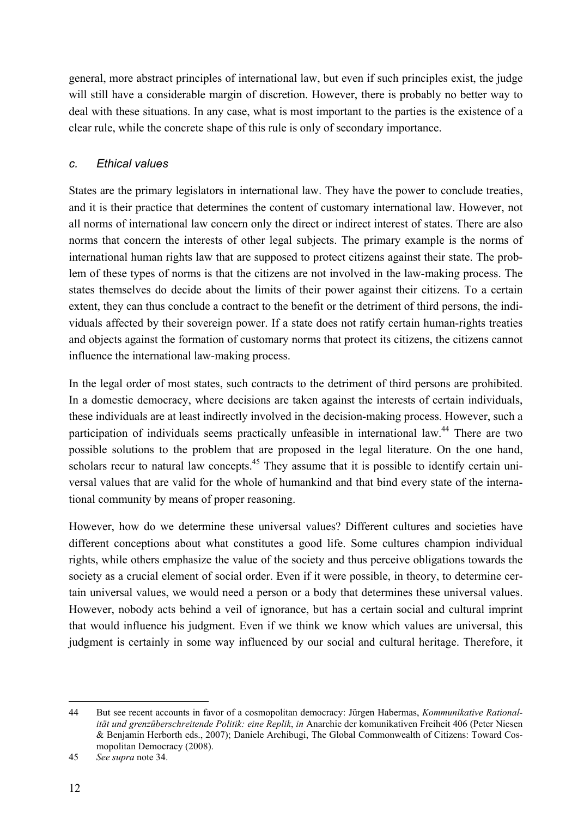general, more abstract principles of international law, but even if such principles exist, the judge will still have a considerable margin of discretion. However, there is probably no better way to deal with these situations. In any case, what is most important to the parties is the existence of a clear rule, while the concrete shape of this rule is only of secondary importance.

### *c. Ethical values*

States are the primary legislators in international law. They have the power to conclude treaties, and it is their practice that determines the content of customary international law. However, not all norms of international law concern only the direct or indirect interest of states. There are also norms that concern the interests of other legal subjects. The primary example is the norms of international human rights law that are supposed to protect citizens against their state. The problem of these types of norms is that the citizens are not involved in the law-making process. The states themselves do decide about the limits of their power against their citizens. To a certain extent, they can thus conclude a contract to the benefit or the detriment of third persons, the individuals affected by their sovereign power. If a state does not ratify certain human-rights treaties and objects against the formation of customary norms that protect its citizens, the citizens cannot influence the international law-making process.

In the legal order of most states, such contracts to the detriment of third persons are prohibited. In a domestic democracy, where decisions are taken against the interests of certain individuals, these individuals are at least indirectly involved in the decision-making process. However, such a participation of individuals seems practically unfeasible in international law.<sup>44</sup> There are two possible solutions to the problem that are proposed in the legal literature. On the one hand, scholars recur to natural law concepts.<sup>45</sup> They assume that it is possible to identify certain universal values that are valid for the whole of humankind and that bind every state of the international community by means of proper reasoning.

However, how do we determine these universal values? Different cultures and societies have different conceptions about what constitutes a good life. Some cultures champion individual rights, while others emphasize the value of the society and thus perceive obligations towards the society as a crucial element of social order. Even if it were possible, in theory, to determine certain universal values, we would need a person or a body that determines these universal values. However, nobody acts behind a veil of ignorance, but has a certain social and cultural imprint that would influence his judgment. Even if we think we know which values are universal, this judgment is certainly in some way influenced by our social and cultural heritage. Therefore, it

<sup>44</sup> But see recent accounts in favor of a cosmopolitan democracy: Jürgen Habermas, *Kommunikative Rationalität und grenzüberschreitende Politik: eine Replik*, *in* Anarchie der komunikativen Freiheit 406 (Peter Niesen & Benjamin Herborth eds., 2007); Daniele Archibugi, The Global Commonwealth of Citizens: Toward Cosmopolitan Democracy (2008).

<sup>45</sup> *See supra* note 34.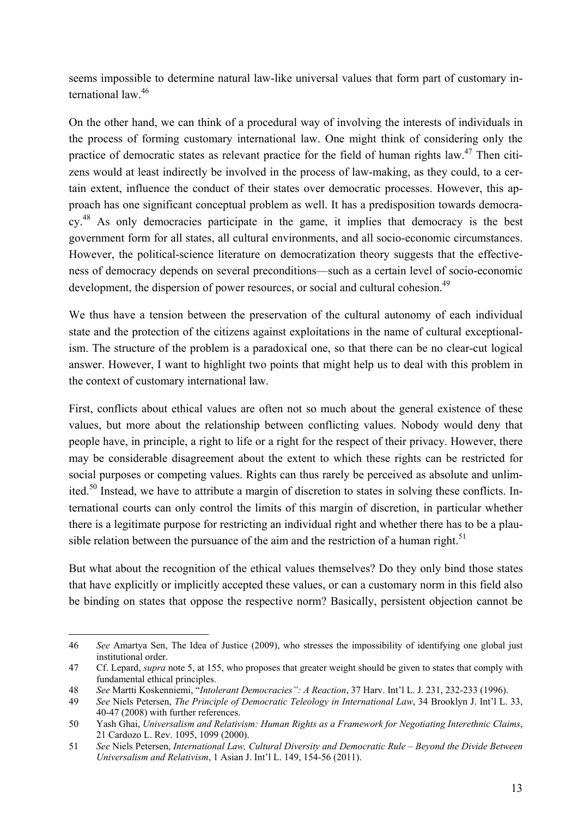seems impossible to determine natural law-like universal values that form part of customary international law<sup>46</sup>

On the other hand, we can think of a procedural way of involving the interests of individuals in the process of forming customary international law. One might think of considering only the practice of democratic states as relevant practice for the field of human rights law.47 Then citizens would at least indirectly be involved in the process of law-making, as they could, to a certain extent, influence the conduct of their states over democratic processes. However, this approach has one significant conceptual problem as well. It has a predisposition towards democracy.48 As only democracies participate in the game, it implies that democracy is the best government form for all states, all cultural environments, and all socio-economic circumstances. However, the political-science literature on democratization theory suggests that the effectiveness of democracy depends on several preconditions—such as a certain level of socio-economic development, the dispersion of power resources, or social and cultural cohesion.<sup>49</sup>

We thus have a tension between the preservation of the cultural autonomy of each individual state and the protection of the citizens against exploitations in the name of cultural exceptionalism. The structure of the problem is a paradoxical one, so that there can be no clear-cut logical answer. However, I want to highlight two points that might help us to deal with this problem in the context of customary international law.

First, conflicts about ethical values are often not so much about the general existence of these values, but more about the relationship between conflicting values. Nobody would deny that people have, in principle, a right to life or a right for the respect of their privacy. However, there may be considerable disagreement about the extent to which these rights can be restricted for social purposes or competing values. Rights can thus rarely be perceived as absolute and unlimited.50 Instead, we have to attribute a margin of discretion to states in solving these conflicts. International courts can only control the limits of this margin of discretion, in particular whether there is a legitimate purpose for restricting an individual right and whether there has to be a plausible relation between the pursuance of the aim and the restriction of a human right.<sup>51</sup>

But what about the recognition of the ethical values themselves? Do they only bind those states that have explicitly or implicitly accepted these values, or can a customary norm in this field also be binding on states that oppose the respective norm? Basically, persistent objection cannot be

<sup>46</sup> *See* Amartya Sen, The Idea of Justice (2009), who stresses the impossibility of identifying one global just institutional order.

<sup>47</sup> Cf. Lepard, *supra* note 5, at 155, who proposes that greater weight should be given to states that comply with fundamental ethical principles.

<sup>48</sup> *See* Martti Koskenniemi, "*Intolerant Democracies": A Reaction*, 37 Harv. Int'l L. J. 231, 232-233 (1996).

<sup>49</sup> *See* Niels Petersen, *The Principle of Democratic Teleology in International Law*, 34 Brooklyn J. Int'l L. 33, 40-47 (2008) with further references.

<sup>50</sup> Yash Ghai, *Universalism and Relativism: Human Rights as a Framework for Negotiating Interethnic Claims*, 21 Cardozo L. Rev. 1095, 1099 (2000).

<sup>51</sup> *See* Niels Petersen, *International Law, Cultural Diversity and Democratic Rule – Beyond the Divide Between Universalism and Relativism*, 1 Asian J. Int'l L. 149, 154-56 (2011).